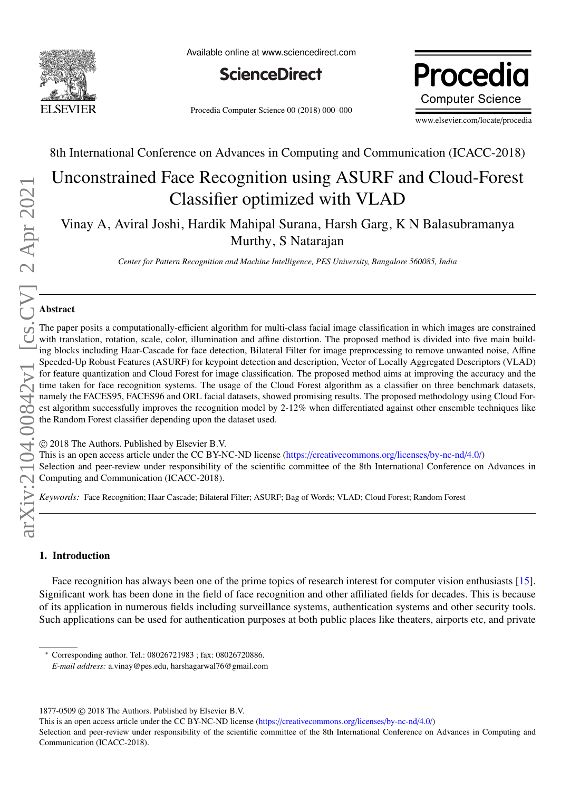

Available online at www.sciencedirect.com



Procedia Computer Science 00 (2018) 000–000

Procedia **Computer Science** 

www.elsevier.com/locate/procedia

8th International Conference on Advances in Computing and Communication (ICACC-2018)

# Unconstrained Face Recognition using ASURF and Cloud-Forest Classifier optimized with VLAD

Vinay A, Aviral Joshi, Hardik Mahipal Surana, Harsh Garg, K N Balasubramanya Murthy, S Natarajan

*Center for Pattern Recognition and Machine Intelligence, PES University, Bangalore 560085, India*

## Abstract

The paper posits a computationally-efficient algorithm for multi-class facial image classification in which images are constrained with translation, rotation, scale, color, illumination and affine distortion. The proposed method is divided into five main building blocks including Haar-Cascade for face detection, Bilateral Filter for image preprocessing to remove unwanted noise, Affine Speeded-Up Robust Features (ASURF) for keypoint detection and description, Vector of Locally Aggregated Descriptors (VLAD) for feature quantization and Cloud Forest for image classification. The proposed method aims at improving the accuracy and the time taken for face recognition systems. The usage of the Cloud Forest algorithm as a classifier on three benchmark datasets, namely the FACES95, FACES96 and ORL facial datasets, showed promising results. The proposed methodology using Cloud Forest algorithm successfully improves the recognition model by 2-12% when differentiated against other ensemble techniques like the Random Forest classifier depending upon the dataset used.

© 2018 The Authors. Published by Elsevier B.V.

This is an open access article under the CC BY-NC-ND license (https://[creativecommons.org](https://creativecommons.org/licenses/by-nc-nd/4.0/)/licenses/by-nc-nd/4.0/) Selection and peer-review under responsibility of the scientific committee of the 8th International Conference on Advances in Computing and Communication (ICACC-2018).

*Keywords:* Face Recognition; Haar Cascade; Bilateral Filter; ASURF; Bag of Words; VLAD; Cloud Forest; Random Forest

## 1. Introduction

Face recognition has always been one of the prime topics of research interest for computer vision enthusiasts [\[15\]](#page-7-0). Significant work has been done in the field of face recognition and other affiliated fields for decades. This is because of its application in numerous fields including surveillance systems, authentication systems and other security tools. Such applications can be used for authentication purposes at both public places like theaters, airports etc, and private

<sup>∗</sup> Corresponding author. Tel.: 08026721983 ; fax: 08026720886.

*E-mail address:* a.vinay@pes.edu, harshagarwal76@gmail.com

<sup>1877-0509</sup> © 2018 The Authors. Published by Elsevier B.V.

This is an open access article under the CC BY-NC-ND license (https://[creativecommons.org](https://creativecommons.org/licenses/by-nc-nd/4.0/)/licenses/by-nc-nd/4.0/)

Selection and peer-review under responsibility of the scientific committee of the 8th International Conference on Advances in Computing and Communication (ICACC-2018).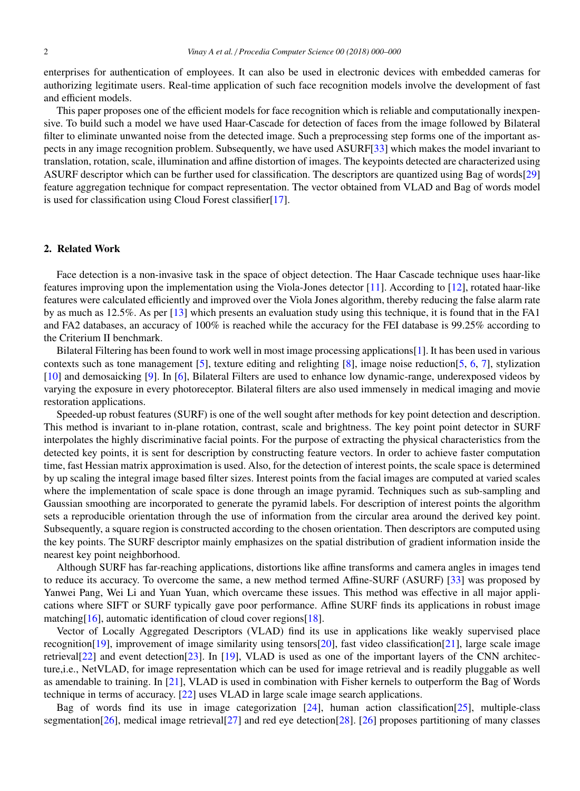enterprises for authentication of employees. It can also be used in electronic devices with embedded cameras for authorizing legitimate users. Real-time application of such face recognition models involve the development of fast and efficient models.

This paper proposes one of the efficient models for face recognition which is reliable and computationally inexpensive. To build such a model we have used Haar-Cascade for detection of faces from the image followed by Bilateral filter to eliminate unwanted noise from the detected image. Such a preprocessing step forms one of the important aspects in any image recognition problem. Subsequently, we have used ASURF[\[33\]](#page-8-0) which makes the model invariant to translation, rotation, scale, illumination and affine distortion of images. The keypoints detected are characterized using ASURF descriptor which can be further used for classification. The descriptors are quantized using Bag of words[\[29\]](#page-8-1) feature aggregation technique for compact representation. The vector obtained from VLAD and Bag of words model is used for classification using Cloud Forest classifier[\[17\]](#page-7-1).

## 2. Related Work

Face detection is a non-invasive task in the space of object detection. The Haar Cascade technique uses haar-like features improving upon the implementation using the Viola-Jones detector [\[11\]](#page-7-2). According to [\[12\]](#page-7-3), rotated haar-like features were calculated efficiently and improved over the Viola Jones algorithm, thereby reducing the false alarm rate by as much as 12.5%. As per [\[13\]](#page-7-4) which presents an evaluation study using this technique, it is found that in the FA1 and FA2 databases, an accuracy of 100% is reached while the accuracy for the FEI database is 99.25% according to the Criterium II benchmark.

Bilateral Filtering has been found to work well in most image processing applications[\[1\]](#page-7-5). It has been used in various contexts such as tone management  $[5]$ , texture editing and relighting  $[8]$ , image noise reduction $[5, 6, 7]$  $[5, 6, 7]$  $[5, 6, 7]$  $[5, 6, 7]$  $[5, 6, 7]$ , stylization [\[10\]](#page-7-10) and demosaicking [\[9\]](#page-7-11). In [\[6\]](#page-7-8), Bilateral Filters are used to enhance low dynamic-range, underexposed videos by varying the exposure in every photoreceptor. Bilateral filters are also used immensely in medical imaging and movie restoration applications.

Speeded-up robust features (SURF) is one of the well sought after methods for key point detection and description. This method is invariant to in-plane rotation, contrast, scale and brightness. The key point point detector in SURF interpolates the highly discriminative facial points. For the purpose of extracting the physical characteristics from the detected key points, it is sent for description by constructing feature vectors. In order to achieve faster computation time, fast Hessian matrix approximation is used. Also, for the detection of interest points, the scale space is determined by up scaling the integral image based filter sizes. Interest points from the facial images are computed at varied scales where the implementation of scale space is done through an image pyramid. Techniques such as sub-sampling and Gaussian smoothing are incorporated to generate the pyramid labels. For description of interest points the algorithm sets a reproducible orientation through the use of information from the circular area around the derived key point. Subsequently, a square region is constructed according to the chosen orientation. Then descriptors are computed using the key points. The SURF descriptor mainly emphasizes on the spatial distribution of gradient information inside the nearest key point neighborhood.

Although SURF has far-reaching applications, distortions like affine transforms and camera angles in images tend to reduce its accuracy. To overcome the same, a new method termed Affine-SURF (ASURF) [\[33\]](#page-8-0) was proposed by Yanwei Pang, Wei Li and Yuan Yuan, which overcame these issues. This method was effective in all major applications where SIFT or SURF typically gave poor performance. Affine SURF finds its applications in robust image matching[\[16\]](#page-7-12), automatic identification of cloud cover regions[\[18\]](#page-7-13).

Vector of Locally Aggregated Descriptors (VLAD) find its use in applications like weakly supervised place recognition[\[19\]](#page-7-14), improvement of image similarity using tensors[\[20\]](#page-7-15), fast video classification[\[21\]](#page-7-16), large scale image retrieval[\[22\]](#page-7-17) and event detection[\[23\]](#page-8-2). In [\[19\]](#page-7-14), VLAD is used as one of the important layers of the CNN architecture,i.e., NetVLAD, for image representation which can be used for image retrieval and is readily pluggable as well as amendable to training. In [\[21\]](#page-7-16), VLAD is used in combination with Fisher kernels to outperform the Bag of Words technique in terms of accuracy. [\[22\]](#page-7-17) uses VLAD in large scale image search applications.

Bag of words find its use in image categorization [\[24\]](#page-8-3), human action classification[\[25\]](#page-8-4), multiple-class segmentation[\[26\]](#page-8-5), medical image retrieval[\[27\]](#page-8-6) and red eye detection[\[28\]](#page-8-7). [\[26\]](#page-8-5) proposes partitioning of many classes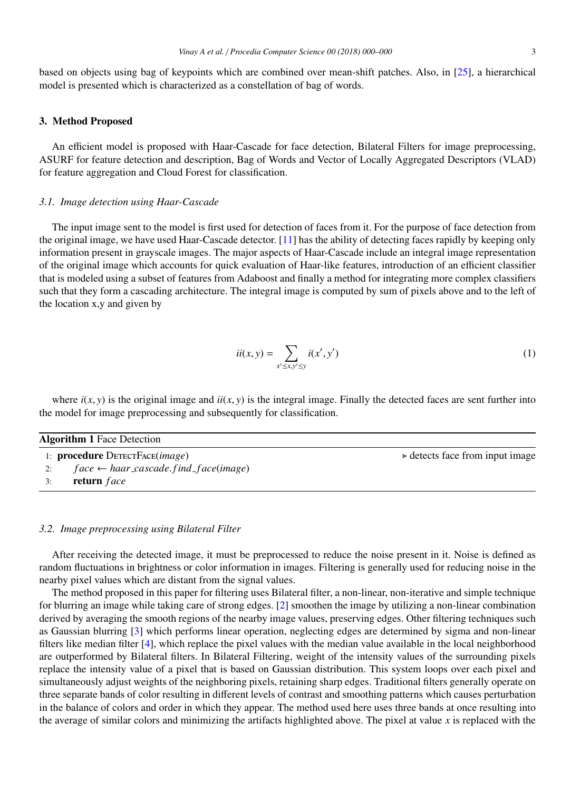based on objects using bag of keypoints which are combined over mean-shift patches. Also, in [\[25\]](#page-8-4), a hierarchical model is presented which is characterized as a constellation of bag of words.

## 3. Method Proposed

An efficient model is proposed with Haar-Cascade for face detection, Bilateral Filters for image preprocessing, ASURF for feature detection and description, Bag of Words and Vector of Locally Aggregated Descriptors (VLAD) for feature aggregation and Cloud Forest for classification.

#### *3.1. Image detection using Haar-Cascade*

The input image sent to the model is first used for detection of faces from it. For the purpose of face detection from the original image, we have used Haar-Cascade detector. [\[11\]](#page-7-2) has the ability of detecting faces rapidly by keeping only information present in grayscale images. The major aspects of Haar-Cascade include an integral image representation of the original image which accounts for quick evaluation of Haar-like features, introduction of an efficient classifier that is modeled using a subset of features from Adaboost and finally a method for integrating more complex classifiers such that they form a cascading architecture. The integral image is computed by sum of pixels above and to the left of the location x,y and given by

$$
ii(x, y) = \sum_{x' \le x, y' \le y} i(x', y')
$$
 (1)

where  $i(x, y)$  is the original image and  $ii(x, y)$  is the integral image. Finally the detected faces are sent further into the model for image preprocessing and subsequently for classification.

| <b>Algorithm 1</b> Face Detection                     |                                                |  |  |
|-------------------------------------------------------|------------------------------------------------|--|--|
| 1: <b>procedure</b> $D$ <b>ETECTFACE</b> $(image)$    | $\triangleright$ detects face from input image |  |  |
| $face \leftarrow$ haar_cascade.find_face(image)<br>2: |                                                |  |  |
| <b>return</b> face<br>3:                              |                                                |  |  |

# *3.2. Image preprocessing using Bilateral Filter*

After receiving the detected image, it must be preprocessed to reduce the noise present in it. Noise is defined as random fluctuations in brightness or color information in images. Filtering is generally used for reducing noise in the nearby pixel values which are distant from the signal values.

The method proposed in this paper for filtering uses Bilateral filter, a non-linear, non-iterative and simple technique for blurring an image while taking care of strong edges. [\[2\]](#page-7-18) smoothen the image by utilizing a non-linear combination derived by averaging the smooth regions of the nearby image values, preserving edges. Other filtering techniques such as Gaussian blurring [\[3\]](#page-7-19) which performs linear operation, neglecting edges are determined by sigma and non-linear filters like median filter [\[4\]](#page-7-20), which replace the pixel values with the median value available in the local neighborhood are outperformed by Bilateral filters. In Bilateral Filtering, weight of the intensity values of the surrounding pixels replace the intensity value of a pixel that is based on Gaussian distribution. This system loops over each pixel and simultaneously adjust weights of the neighboring pixels, retaining sharp edges. Traditional filters generally operate on three separate bands of color resulting in different levels of contrast and smoothing patterns which causes perturbation in the balance of colors and order in which they appear. The method used here uses three bands at once resulting into the average of similar colors and minimizing the artifacts highlighted above. The pixel at value *x* is replaced with the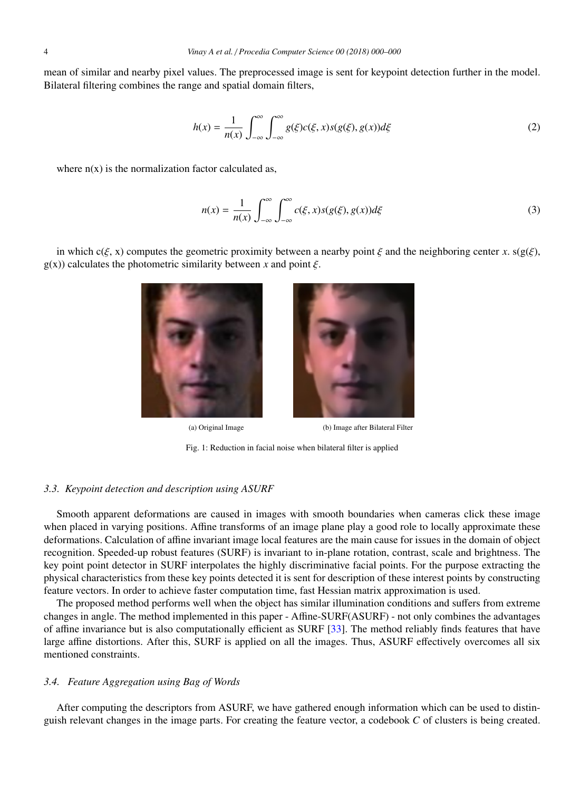mean of similar and nearby pixel values. The preprocessed image is sent for keypoint detection further in the model. Bilateral filtering combines the range and spatial domain filters,

$$
h(x) = \frac{1}{n(x)} \int_{-\infty}^{\infty} \int_{-\infty}^{\infty} g(\xi) c(\xi, x) s(g(\xi), g(x)) d\xi
$$
 (2)

where  $n(x)$  is the normalization factor calculated as,

$$
n(x) = \frac{1}{n(x)} \int_{-\infty}^{\infty} \int_{-\infty}^{\infty} c(\xi, x) s(g(\xi), g(x)) d\xi
$$
 (3)

in which c( $\xi$ , x) computes the geometric proximity between a nearby point  $\xi$  and the neighboring center *x*. s( $g(\xi)$ , g(x)) calculates the photometric similarity between *x* and point  $\xi$ .





(a) Original Image (b) Image after Bilateral Filter

Fig. 1: Reduction in facial noise when bilateral filter is applied

#### *3.3. Keypoint detection and description using ASURF*

Smooth apparent deformations are caused in images with smooth boundaries when cameras click these image when placed in varying positions. Affine transforms of an image plane play a good role to locally approximate these deformations. Calculation of affine invariant image local features are the main cause for issues in the domain of object recognition. Speeded-up robust features (SURF) is invariant to in-plane rotation, contrast, scale and brightness. The key point point detector in SURF interpolates the highly discriminative facial points. For the purpose extracting the physical characteristics from these key points detected it is sent for description of these interest points by constructing feature vectors. In order to achieve faster computation time, fast Hessian matrix approximation is used.

The proposed method performs well when the object has similar illumination conditions and suffers from extreme changes in angle. The method implemented in this paper - Affine-SURF(ASURF) - not only combines the advantages of affine invariance but is also computationally efficient as SURF [\[33\]](#page-8-0). The method reliably finds features that have large affine distortions. After this, SURF is applied on all the images. Thus, ASURF effectively overcomes all six mentioned constraints.

#### *3.4. Feature Aggregation using Bag of Words*

After computing the descriptors from ASURF, we have gathered enough information which can be used to distinguish relevant changes in the image parts. For creating the feature vector, a codebook *C* of clusters is being created.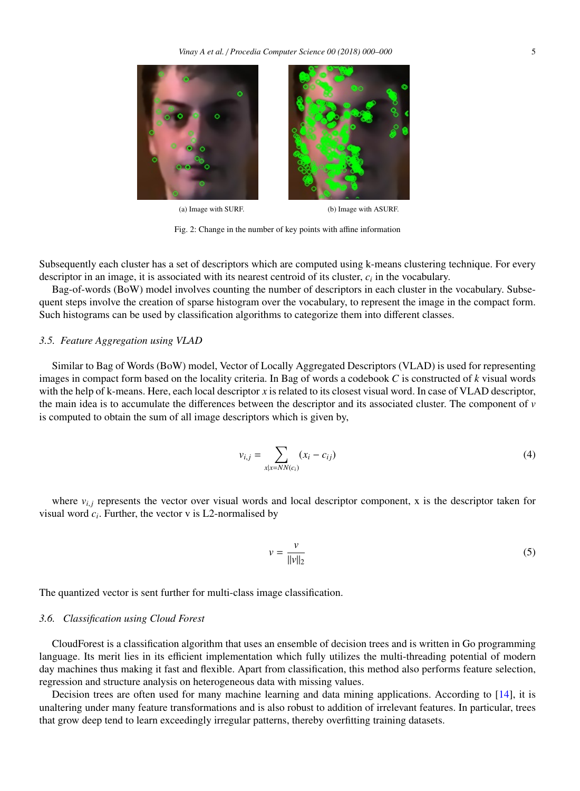

Fig. 2: Change in the number of key points with affine information

Subsequently each cluster has a set of descriptors which are computed using k-means clustering technique. For every descriptor in an image, it is associated with its nearest centroid of its cluster, *c<sup>i</sup>* in the vocabulary.

Bag-of-words (BoW) model involves counting the number of descriptors in each cluster in the vocabulary. Subsequent steps involve the creation of sparse histogram over the vocabulary, to represent the image in the compact form. Such histograms can be used by classification algorithms to categorize them into different classes.

#### *3.5. Feature Aggregation using VLAD*

Similar to Bag of Words (BoW) model, Vector of Locally Aggregated Descriptors (VLAD) is used for representing images in compact form based on the locality criteria. In Bag of words a codebook *C* is constructed of *k* visual words with the help of k-means. Here, each local descriptor *x* is related to its closest visual word. In case of VLAD descriptor, the main idea is to accumulate the differences between the descriptor and its associated cluster. The component of *v* is computed to obtain the sum of all image descriptors which is given by,

$$
v_{i,j} = \sum_{x | x = NN(c_i)} (x_i - c_{ij})
$$
\n(4)

where  $v_{i,j}$  represents the vector over visual words and local descriptor component, x is the descriptor taken for visual word  $c_i$ . Further, the vector v is L2-normalised by

$$
v = \frac{v}{\|v\|_2} \tag{5}
$$

The quantized vector is sent further for multi-class image classification.

## *3.6. Classification using Cloud Forest*

CloudForest is a classification algorithm that uses an ensemble of decision trees and is written in Go programming language. Its merit lies in its efficient implementation which fully utilizes the multi-threading potential of modern day machines thus making it fast and flexible. Apart from classification, this method also performs feature selection, regression and structure analysis on heterogeneous data with missing values.

Decision trees are often used for many machine learning and data mining applications. According to [\[14\]](#page-7-21), it is unaltering under many feature transformations and is also robust to addition of irrelevant features. In particular, trees that grow deep tend to learn exceedingly irregular patterns, thereby overfitting training datasets.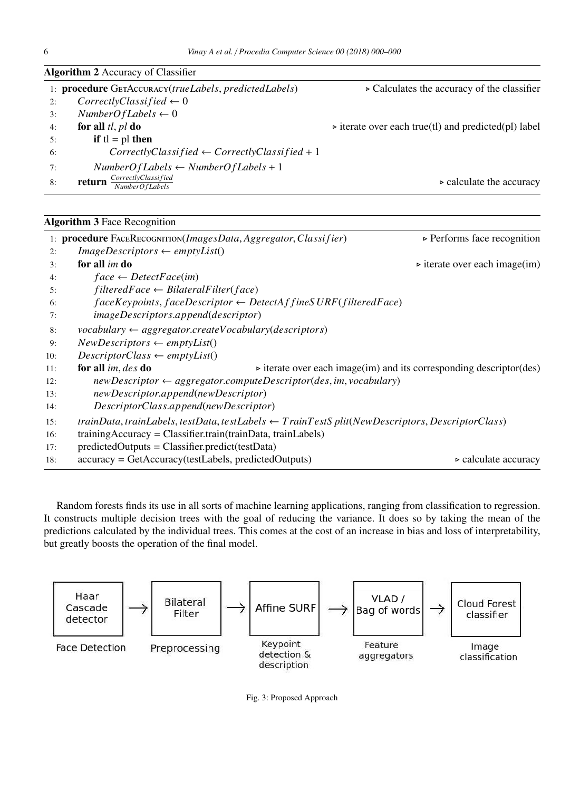|    | <b>Algorithm 2</b> Accuracy of Classifier                                     |                                                                     |
|----|-------------------------------------------------------------------------------|---------------------------------------------------------------------|
|    | 1: <b>procedure</b> GETACCURACY( <i>trueLabels</i> , <i>predictedLabels</i> ) | $\triangleright$ Calculates the accuracy of the classifier          |
| 2: | $CorrectyClassified \leftarrow 0$                                             |                                                                     |
| 3: | $NumberOfLabels \leftarrow 0$                                                 |                                                                     |
| 4: | for all $tl$ , $pl$ do                                                        | $\triangleright$ iterate over each true(tl) and predicted(pl) label |
| 5: | if $t = pl$ then                                                              |                                                                     |
| 6: | $CorrectyClassified \leftarrow CorrectlyClassified + 1$                       |                                                                     |
| 7: | $NumberOfLabels \leftarrow NumberOfLabels + 1$                                |                                                                     |
| 8: | CorrectlyClassified<br>return<br>NumberOfLabels                               | $\triangleright$ calculate the accuracy                             |

# Algorithm 3 Face Recognition

|     | 1: procedure FACERECOGNITION(ImagesData, Aggregator, Classifier)                                           | $\triangleright$ Performs face recognition   |
|-----|------------------------------------------------------------------------------------------------------------|----------------------------------------------|
| 2:  | $ImageDescriptions \leftarrow emptyList()$                                                                 |                                              |
| 3:  | for all <i>im</i> do                                                                                       | $\triangleright$ iterate over each image(im) |
| 4:  | $face \leftarrow DetectFace(im)$                                                                           |                                              |
| 5:  | $filteredFace \leftarrow BilateralFilter(face)$                                                            |                                              |
| 6:  | $faceKeywords, faceDescription \leftarrow Detection of lines \textit{URF}(filtered Face)$                  |                                              |
| 7:  | <i>imageDescriptors.append(descriptor)</i>                                                                 |                                              |
| 8:  | $vocabulary \leftarrow aggregateVocabulary(descriptions)$                                                  |                                              |
| 9:  | $NewDescriptions \leftarrow emptyList()$                                                                   |                                              |
| 10: | $DescriptorClass \leftarrow emptyList()$                                                                   |                                              |
| 11: | for all im, des do<br>$\triangleright$ iterate over each image(im) and its corresponding descriptor(des)   |                                              |
| 12: | $newDescription \leftarrow aggregateor.compileDescription (des, im, vocabulary)$                           |                                              |
| 13: | newDescriptor.append(newDescriptor)                                                                        |                                              |
| 14: | DescriptorClass.append(newDescriptor)                                                                      |                                              |
| 15: | trainData, trainLabels, testData, testLabels $\leftarrow$ TrainTestS plit(NewDescriptors, DescriptorClass) |                                              |
| 16: | $trainingAccuracy = Classifier.train(trainData, trainLabels)$                                              |                                              |
| 17: | $predictedOutputStream = Classifier.predict(testData)$                                                     |                                              |
| 18: | $accuracy = GetAccuracy(testLabels, predictedOutputStream)$                                                | $\triangleright$ calculate accuracy          |

Random forests finds its use in all sorts of machine learning applications, ranging from classification to regression. It constructs multiple decision trees with the goal of reducing the variance. It does so by taking the mean of the predictions calculated by the individual trees. This comes at the cost of an increase in bias and loss of interpretability, but greatly boosts the operation of the final model.



Fig. 3: Proposed Approach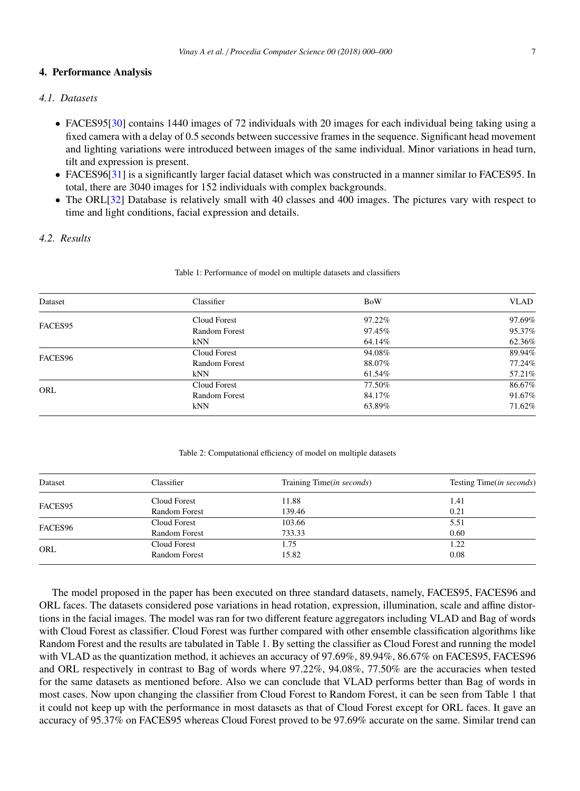# 4. Performance Analysis

- *4.1. Datasets*
	- FACES95[\[30\]](#page-8-8) contains 1440 images of 72 individuals with 20 images for each individual being taking using a fixed camera with a delay of 0.5 seconds between successive frames in the sequence. Significant head movement and lighting variations were introduced between images of the same individual. Minor variations in head turn, tilt and expression is present.
	- FACES96[\[31\]](#page-8-9) is a significantly larger facial dataset which was constructed in a manner similar to FACES95. In total, there are 3040 images for 152 individuals with complex backgrounds.
	- The ORL[\[32\]](#page-8-10) Database is relatively small with 40 classes and 400 images. The pictures vary with respect to time and light conditions, facial expression and details.

# *4.2. Results*

| Dataset | Classifier           | <b>BoW</b> | <b>VLAD</b> |
|---------|----------------------|------------|-------------|
|         | Cloud Forest         | 97.22%     | 97.69%      |
| FACES95 | <b>Random Forest</b> | 97.45%     | 95.37%      |
|         | kNN                  | 64.14%     | 62.36%      |
|         | Cloud Forest         | 94.08%     | 89.94%      |
| FACES96 | <b>Random Forest</b> | 88.07%     | 77.24%      |
|         | kNN                  | 61.54%     | 57.21%      |
|         | Cloud Forest         | 77.50%     | 86.67%      |
| ORL     | <b>Random Forest</b> | 84.17%     | 91.67%      |
|         | kNN                  | 63.89%     | 71.62%      |

Table 1: Performance of model on multiple datasets and classifiers

#### Table 2: Computational efficiency of model on multiple datasets

| Dataset | Classifier           | Training Time(in seconds) | Testing Time( <i>in seconds</i> ) |
|---------|----------------------|---------------------------|-----------------------------------|
|         | Cloud Forest         | 11.88                     | 1.41                              |
| FACES95 | <b>Random Forest</b> | 139.46                    | 0.21                              |
|         | Cloud Forest         | 103.66                    | 5.51                              |
| FACES96 | <b>Random Forest</b> | 733.33                    | 0.60                              |
|         | Cloud Forest         | 1.75                      | 1.22                              |
| ORL     | <b>Random Forest</b> | 15.82                     | 0.08                              |

The model proposed in the paper has been executed on three standard datasets, namely, FACES95, FACES96 and ORL faces. The datasets considered pose variations in head rotation, expression, illumination, scale and affine distortions in the facial images. The model was ran for two different feature aggregators including VLAD and Bag of words with Cloud Forest as classifier. Cloud Forest was further compared with other ensemble classification algorithms like Random Forest and the results are tabulated in Table 1. By setting the classifier as Cloud Forest and running the model with VLAD as the quantization method, it achieves an accuracy of 97.69%, 89.94%, 86.67% on FACES95, FACES96 and ORL respectively in contrast to Bag of words where 97.22%, 94.08%, 77.50% are the accuracies when tested for the same datasets as mentioned before. Also we can conclude that VLAD performs better than Bag of words in most cases. Now upon changing the classifier from Cloud Forest to Random Forest, it can be seen from Table 1 that it could not keep up with the performance in most datasets as that of Cloud Forest except for ORL faces. It gave an accuracy of 95.37% on FACES95 whereas Cloud Forest proved to be 97.69% accurate on the same. Similar trend can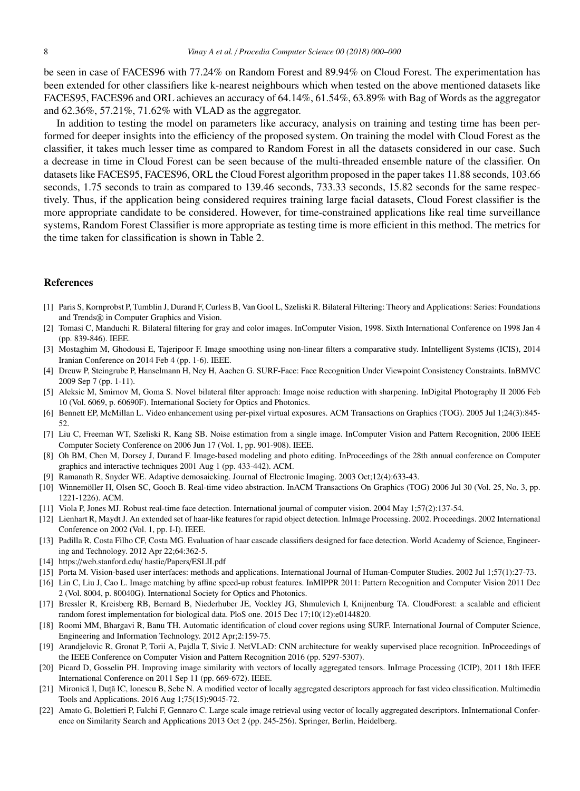be seen in case of FACES96 with 77.24% on Random Forest and 89.94% on Cloud Forest. The experimentation has been extended for other classifiers like k-nearest neighbours which when tested on the above mentioned datasets like FACES95, FACES96 and ORL achieves an accuracy of 64.14%, 61.54%, 63.89% with Bag of Words as the aggregator and 62.36%, 57.21%, 71.62% with VLAD as the aggregator.

In addition to testing the model on parameters like accuracy, analysis on training and testing time has been performed for deeper insights into the efficiency of the proposed system. On training the model with Cloud Forest as the classifier, it takes much lesser time as compared to Random Forest in all the datasets considered in our case. Such a decrease in time in Cloud Forest can be seen because of the multi-threaded ensemble nature of the classifier. On datasets like FACES95, FACES96, ORL the Cloud Forest algorithm proposed in the paper takes 11.88 seconds, 103.66 seconds, 1.75 seconds to train as compared to 139.46 seconds, 733.33 seconds, 15.82 seconds for the same respectively. Thus, if the application being considered requires training large facial datasets, Cloud Forest classifier is the more appropriate candidate to be considered. However, for time-constrained applications like real time surveillance systems, Random Forest Classifier is more appropriate as testing time is more efficient in this method. The metrics for the time taken for classification is shown in Table 2.

#### References

- <span id="page-7-5"></span>[1] Paris S, Kornprobst P, Tumblin J, Durand F, Curless B, Van Gool L, Szeliski R. Bilateral Filtering: Theory and Applications: Series: Foundations and Trends® in Computer Graphics and Vision.
- <span id="page-7-18"></span>[2] Tomasi C, Manduchi R. Bilateral filtering for gray and color images. InComputer Vision, 1998. Sixth International Conference on 1998 Jan 4 (pp. 839-846). IEEE.
- <span id="page-7-19"></span>[3] Mostaghim M, Ghodousi E, Tajeripoor F. Image smoothing using non-linear filters a comparative study. InIntelligent Systems (ICIS), 2014 Iranian Conference on 2014 Feb 4 (pp. 1-6). IEEE.
- <span id="page-7-20"></span>[4] Dreuw P, Steingrube P, Hanselmann H, Ney H, Aachen G. SURF-Face: Face Recognition Under Viewpoint Consistency Constraints. InBMVC 2009 Sep 7 (pp. 1-11).
- <span id="page-7-6"></span>[5] Aleksic M, Smirnov M, Goma S. Novel bilateral filter approach: Image noise reduction with sharpening. InDigital Photography II 2006 Feb 10 (Vol. 6069, p. 60690F). International Society for Optics and Photonics.
- <span id="page-7-8"></span>[6] Bennett EP, McMillan L. Video enhancement using per-pixel virtual exposures. ACM Transactions on Graphics (TOG). 2005 Jul 1;24(3):845- 52.
- <span id="page-7-9"></span>[7] Liu C, Freeman WT, Szeliski R, Kang SB. Noise estimation from a single image. InComputer Vision and Pattern Recognition, 2006 IEEE Computer Society Conference on 2006 Jun 17 (Vol. 1, pp. 901-908). IEEE.
- <span id="page-7-7"></span>[8] Oh BM, Chen M, Dorsey J, Durand F. Image-based modeling and photo editing. InProceedings of the 28th annual conference on Computer graphics and interactive techniques 2001 Aug 1 (pp. 433-442). ACM.
- <span id="page-7-11"></span>[9] Ramanath R, Snyder WE. Adaptive demosaicking. Journal of Electronic Imaging. 2003 Oct;12(4):633-43.
- <span id="page-7-10"></span>[10] Winnemöller H, Olsen SC, Gooch B. Real-time video abstraction. InACM Transactions On Graphics (TOG) 2006 Jul 30 (Vol. 25, No. 3, pp. 1221-1226). ACM.
- <span id="page-7-2"></span>[11] Viola P, Jones MJ. Robust real-time face detection. International journal of computer vision. 2004 May 1;57(2):137-54.
- <span id="page-7-3"></span>[12] Lienhart R, Maydt J. An extended set of haar-like features for rapid object detection. InImage Processing. 2002. Proceedings. 2002 International Conference on 2002 (Vol. 1, pp. I-I). IEEE.
- <span id="page-7-4"></span>[13] Padilla R, Costa Filho CF, Costa MG. Evaluation of haar cascade classifiers designed for face detection. World Academy of Science, Engineering and Technology. 2012 Apr 22;64:362-5.
- <span id="page-7-21"></span>[14] https://web.stanford.edu/ hastie/Papers/ESLII.pdf
- <span id="page-7-0"></span>[15] Porta M. Vision-based user interfaces: methods and applications. International Journal of Human-Computer Studies. 2002 Jul 1;57(1):27-73.
- <span id="page-7-12"></span>[16] Lin C, Liu J, Cao L. Image matching by affine speed-up robust features. InMIPPR 2011: Pattern Recognition and Computer Vision 2011 Dec 2 (Vol. 8004, p. 80040G). International Society for Optics and Photonics.
- <span id="page-7-1"></span>[17] Bressler R, Kreisberg RB, Bernard B, Niederhuber JE, Vockley JG, Shmulevich I, Knijnenburg TA. CloudForest: a scalable and efficient random forest implementation for biological data. PloS one. 2015 Dec 17;10(12):e0144820.
- <span id="page-7-13"></span>[18] Roomi MM, Bhargavi R, Banu TH. Automatic identification of cloud cover regions using SURF. International Journal of Computer Science, Engineering and Information Technology. 2012 Apr;2:159-75.
- <span id="page-7-14"></span>[19] Arandjelovic R, Gronat P, Torii A, Pajdla T, Sivic J. NetVLAD: CNN architecture for weakly supervised place recognition. InProceedings of the IEEE Conference on Computer Vision and Pattern Recognition 2016 (pp. 5297-5307).
- <span id="page-7-15"></span>[20] Picard D, Gosselin PH. Improving image similarity with vectors of locally aggregated tensors. InImage Processing (ICIP), 2011 18th IEEE International Conference on 2011 Sep 11 (pp. 669-672). IEEE.
- <span id="page-7-16"></span>[21] Mironică I, Duță IC, Ionescu B, Sebe N. A modified vector of locally aggregated descriptors approach for fast video classification. Multimedia Tools and Applications. 2016 Aug 1;75(15):9045-72.
- <span id="page-7-17"></span>[22] Amato G, Bolettieri P, Falchi F, Gennaro C. Large scale image retrieval using vector of locally aggregated descriptors. InInternational Conference on Similarity Search and Applications 2013 Oct 2 (pp. 245-256). Springer, Berlin, Heidelberg.